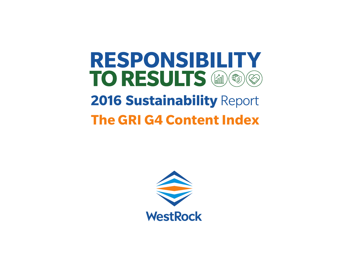## **RESPONSIBILITY** TO RESULTS (a) (6) ( 23) **2016 Sustainability Report The GRI G4 Content Index**

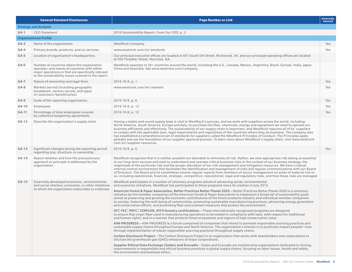|         | <b>General Standard Disclosures</b>                                                                                                                                                                     | <b>Page Number or Link</b>                                                                                                                                                                                                                                                                                                                                                                                                                                                                                                                                                                                                                                                                                                                                                                                                                       | <b>Externally</b><br><b>Assured</b> |
|---------|---------------------------------------------------------------------------------------------------------------------------------------------------------------------------------------------------------|--------------------------------------------------------------------------------------------------------------------------------------------------------------------------------------------------------------------------------------------------------------------------------------------------------------------------------------------------------------------------------------------------------------------------------------------------------------------------------------------------------------------------------------------------------------------------------------------------------------------------------------------------------------------------------------------------------------------------------------------------------------------------------------------------------------------------------------------------|-------------------------------------|
|         | <b>Strategy and Analysis</b>                                                                                                                                                                            |                                                                                                                                                                                                                                                                                                                                                                                                                                                                                                                                                                                                                                                                                                                                                                                                                                                  |                                     |
| $G4-1$  | <b>CEO Statement</b>                                                                                                                                                                                    | 2016 Sustainability Report, From Our CEO, p. 3                                                                                                                                                                                                                                                                                                                                                                                                                                                                                                                                                                                                                                                                                                                                                                                                   |                                     |
|         | <b>Organizational Profile</b>                                                                                                                                                                           |                                                                                                                                                                                                                                                                                                                                                                                                                                                                                                                                                                                                                                                                                                                                                                                                                                                  |                                     |
| $G4-3$  | Name of the organization.                                                                                                                                                                               | <b>WestRock Company</b>                                                                                                                                                                                                                                                                                                                                                                                                                                                                                                                                                                                                                                                                                                                                                                                                                          | Yes                                 |
| $G4-4$  | Primary brands, products, and/or services.                                                                                                                                                              | www.westrock.com/en/products                                                                                                                                                                                                                                                                                                                                                                                                                                                                                                                                                                                                                                                                                                                                                                                                                     | Yes                                 |
| $G4-5$  | Location of organization's headquarters.                                                                                                                                                                | Our principal executive offices are located at 501 South 5th Street, Richmond, VA, and our principal operating offices are located<br>at 504 Thrasher Street, Norcross, GA.                                                                                                                                                                                                                                                                                                                                                                                                                                                                                                                                                                                                                                                                      |                                     |
| $G4-6$  | Number of countries where the organization<br>operates, and names of countries with either<br>major operations or that are specifically relevant<br>to the sustainability issues covered in the report. | WestRock operates in 30+ countries around the world, including the U.S., Canada, Mexico, Argentina, Brazil, Europe, India, Japan,<br>China and Australia. See www.westrock.com/company.                                                                                                                                                                                                                                                                                                                                                                                                                                                                                                                                                                                                                                                          |                                     |
| $G4-7$  | Nature of ownership and legal form.                                                                                                                                                                     | 2016 10-K, p. 1                                                                                                                                                                                                                                                                                                                                                                                                                                                                                                                                                                                                                                                                                                                                                                                                                                  | Yes                                 |
| $G4-8$  | Markets served (including geographic<br>breakdown, sectors served, and types<br>of customers/beneficiaries).                                                                                            | www.westrock.com/en/markets                                                                                                                                                                                                                                                                                                                                                                                                                                                                                                                                                                                                                                                                                                                                                                                                                      | Yes                                 |
| $G4-9$  | Scale of the reporting organization.                                                                                                                                                                    | 2016 10-K, p. 6                                                                                                                                                                                                                                                                                                                                                                                                                                                                                                                                                                                                                                                                                                                                                                                                                                  | Yes                                 |
| $G4-10$ | Employees                                                                                                                                                                                               | 2016 10-K, p. 12                                                                                                                                                                                                                                                                                                                                                                                                                                                                                                                                                                                                                                                                                                                                                                                                                                 | Yes                                 |
| $G4-11$ | Percentage of total employees covered<br>by collective bargaining agreements                                                                                                                            | 2016 10-K, p. 12                                                                                                                                                                                                                                                                                                                                                                                                                                                                                                                                                                                                                                                                                                                                                                                                                                 | Yes                                 |
| $G4-12$ | Describe the organization's supply chain                                                                                                                                                                | Having a stable and sound supply base is vital to WestRock's success, and we work with suppliers across the world, including<br>North America, South America, Europe and Asia, to purchase the fiber, chemicals, energy and equipment we need to operate our<br>business efficiently and effectively. The sustainability of our supply chain is important, and WestRock requires all of its' suppliers<br>to comply with the applicable laws, legal requirements and regulations of the countries where they do business. The company also<br>has established a comprehensive set of standards for suppliers called the WestRock Principles of Conduct. The Principles apply<br>globally and are the foundation of our supplier approval process. To learn more about WestRock's supply chain, visit www.westrock.<br>com/en/supplier-resources. |                                     |
| $G4-13$ | Significant changes during the reporting period<br>regarding size, structure, or ownership.                                                                                                             | 2016 10-K, p. 6                                                                                                                                                                                                                                                                                                                                                                                                                                                                                                                                                                                                                                                                                                                                                                                                                                  | Yes                                 |
| $G4-14$ | Report whether and how the precautionary<br>approach or principle is addressed by the<br>organization.                                                                                                  | WestRock recognizes that it is neither possible nor desirable to eliminate all risk. Rather, we view appropriate risk taking as essential<br>to our long-term success and seek to understand and oversee critical business risks in the context of our business strategy, the<br>magnitude of the particular risk and the proper allocation of our risk management and mitigation resources. We have a robust<br>internal control environment that facilitates the identification and management of risks and regular communications with our Board<br>of Directors. The Board and its committees receive regular reports from members of senior management on areas of material risk to<br>us, including operational, financial, strategic, competitive, reputational, legal and regulatory risks, and how those risks are managed.             |                                     |
| $G4-15$ | Externally developed economic, environmental,<br>and social charters, principles, or other initiatives                                                                                                  | WestRock participates in a number of voluntary programs aimed at advancing social, environmental<br>and economic initiatives. WestRock has participated in these programs since its creation in July 2015.                                                                                                                                                                                                                                                                                                                                                                                                                                                                                                                                                                                                                                       |                                     |
|         | to which the organization subscribes or endorses.                                                                                                                                                       | American Forest & Paper Association, Better Practices Better Planet 2020—Better Practices Better Planet 2020 is a voluntary<br>initiative by the member companies of the American Forest & Paper Association to implement a broad set of sustainability goals<br>aimed at preserving and growing the economic contributions of the forest products industry and individual member companies<br>to society; fostering the well-being of communities; promoting sustainable manufacturing practices; advancing energy generation<br>and conservation efforts; and promoting fiber procurement measures that protect the environment.                                                                                                                                                                                                               |                                     |
|         |                                                                                                                                                                                                         | SFI®, FSC®, PEFC®, CERFLOR, ATFS forestry certifications—These internationally-recognized programs are designed<br>to ensure that virgin fiber used in manufacturing operations is harvested in compliance with laws, with respect for traditional<br>and human rights, and in a manner that protects forest ecosystems and regions of high conservation value.                                                                                                                                                                                                                                                                                                                                                                                                                                                                                  |                                     |
|         |                                                                                                                                                                                                         | AIM-PROGRESS—AIM-PROGRESS is a forum comprised of companies that intend to promote responsible sourcing practices and<br>sustainable supply chains throughout Europe and North America. The organization's mission is to positively impact peoples' lives<br>through implementation of robust responsible sourcing practices throughout supply chains.                                                                                                                                                                                                                                                                                                                                                                                                                                                                                           |                                     |
|         |                                                                                                                                                                                                         | Carbon Disclosure Project-The Carbon Disclosure Project is an organization that works with shareholders and corporations to<br>disclose the greenhouse gas (GHG) emissions of major corporations.                                                                                                                                                                                                                                                                                                                                                                                                                                                                                                                                                                                                                                                |                                     |
|         |                                                                                                                                                                                                         | Supplier Ethical Data Exchange (Sedex) and Ecovadis—Sedex and Ecovadis are membership organizations dedicated to driving<br>improvements in responsible and ethical business practices in global supply chains, focusing on labor issues, health and safety,<br>the environment and business ethics.                                                                                                                                                                                                                                                                                                                                                                                                                                                                                                                                             |                                     |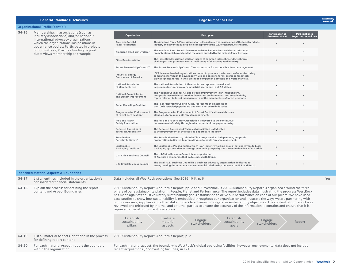|         | <b>General Standard Disclosures</b>                                                                                                                                                                                 | <b>Page Number or Link</b>                                                                                                                                                                                                                                                                                                                                                                                                                                                                                                                                                                                                                                                                                                                                                                                                                                             |                                                                                                                                                                                                                                                               |                                                    |                                                         |     |  |
|---------|---------------------------------------------------------------------------------------------------------------------------------------------------------------------------------------------------------------------|------------------------------------------------------------------------------------------------------------------------------------------------------------------------------------------------------------------------------------------------------------------------------------------------------------------------------------------------------------------------------------------------------------------------------------------------------------------------------------------------------------------------------------------------------------------------------------------------------------------------------------------------------------------------------------------------------------------------------------------------------------------------------------------------------------------------------------------------------------------------|---------------------------------------------------------------------------------------------------------------------------------------------------------------------------------------------------------------------------------------------------------------|----------------------------------------------------|---------------------------------------------------------|-----|--|
|         | Organizational Profile (cont'd.)                                                                                                                                                                                    |                                                                                                                                                                                                                                                                                                                                                                                                                                                                                                                                                                                                                                                                                                                                                                                                                                                                        |                                                                                                                                                                                                                                                               |                                                    |                                                         |     |  |
| $G4-16$ | Memberships in associations (such as<br>industry associations) and/or national/                                                                                                                                     | <b>Organization</b>                                                                                                                                                                                                                                                                                                                                                                                                                                                                                                                                                                                                                                                                                                                                                                                                                                                    | <b>Description</b>                                                                                                                                                                                                                                            | <b>Participation at</b><br><b>Governance Level</b> | <b>Participation in</b><br><b>Projects or Committee</b> |     |  |
|         | international advocacy organizations in<br>which the organization: Has positions in<br>governance bodies: Participates in projects<br>or committees; Provides funding beyond<br>dues; Views membership as strategic | <b>American Forest &amp;</b><br><b>Paper Association</b>                                                                                                                                                                                                                                                                                                                                                                                                                                                                                                                                                                                                                                                                                                                                                                                                               | The American Forest & Paper Association is the national trade association of the forest products<br>industry and advances public policies that promote the U.S. forest products industry.                                                                     | X                                                  | X                                                       |     |  |
|         |                                                                                                                                                                                                                     | American Tree Farm System                                                                                                                                                                                                                                                                                                                                                                                                                                                                                                                                                                                                                                                                                                                                                                                                                                              | The American Forest Foundation works with families, teachers and elected officials to<br>promote stewardship and protect the values provided by the nation's forest heritage.                                                                                 |                                                    | X                                                       |     |  |
|         |                                                                                                                                                                                                                     | <b>Fibre Box Association</b>                                                                                                                                                                                                                                                                                                                                                                                                                                                                                                                                                                                                                                                                                                                                                                                                                                           | The Fibre Box Association work on issues of common interest, trends, technical<br>challenges, and promotes overall well-being of the corrugated industry.                                                                                                     | X                                                  | $\times$                                                |     |  |
|         |                                                                                                                                                                                                                     | <b>Forest Stewardship Council</b>                                                                                                                                                                                                                                                                                                                                                                                                                                                                                                                                                                                                                                                                                                                                                                                                                                      | The Forest Stewardship Council" sets standards for responsible forest management.                                                                                                                                                                             |                                                    |                                                         |     |  |
|         |                                                                                                                                                                                                                     | <b>Industrial Energy</b><br><b>Consumers of America</b>                                                                                                                                                                                                                                                                                                                                                                                                                                                                                                                                                                                                                                                                                                                                                                                                                | IECA is a member-led organization created to promote the interests of manufacturing<br>companies for which the availability, use and cost of energy, power or feedstock<br>play a significant role in their ability to compete in domestic and world markets. |                                                    | X                                                       |     |  |
|         |                                                                                                                                                                                                                     | <b>National Association</b><br>of Manufacturers                                                                                                                                                                                                                                                                                                                                                                                                                                                                                                                                                                                                                                                                                                                                                                                                                        | The National Association of Manufacturers represents small and<br>large manufacturers in every industrial sector and in all 50 states.                                                                                                                        | X                                                  | $\chi$                                                  |     |  |
|         |                                                                                                                                                                                                                     | <b>National Council for Air</b><br>and Stream Improvement                                                                                                                                                                                                                                                                                                                                                                                                                                                                                                                                                                                                                                                                                                                                                                                                              | The National Council for Air and Stream Improvement is an independent,<br>non-profit research institute that focuses on environmental and sustainability<br>topics relevant to forest management and the manufacture of forest products.                      | X                                                  | X                                                       |     |  |
|         |                                                                                                                                                                                                                     | <b>Paper Recycling Coalition</b>                                                                                                                                                                                                                                                                                                                                                                                                                                                                                                                                                                                                                                                                                                                                                                                                                                       | The Paper Recycling Coalition, Inc. represents the interests of<br>the 100% recycled paperboard and containerboard industries.                                                                                                                                |                                                    | $\mathsf X$                                             |     |  |
|         |                                                                                                                                                                                                                     | <b>Programme for Endorsement</b><br>of Forest Certification"                                                                                                                                                                                                                                                                                                                                                                                                                                                                                                                                                                                                                                                                                                                                                                                                           | The Programme for Endorsement of Forest Certification establishes<br>standards for responsible forest management.                                                                                                                                             |                                                    |                                                         |     |  |
|         |                                                                                                                                                                                                                     | Pulp and Paper<br><b>Safety Association</b>                                                                                                                                                                                                                                                                                                                                                                                                                                                                                                                                                                                                                                                                                                                                                                                                                            | The Pulp and Paper Safety Association is devoted to the continuous<br>improvement of safety throughout all aspects of the paper industry.                                                                                                                     | X                                                  | X                                                       |     |  |
|         |                                                                                                                                                                                                                     | <b>Recycled Paperboard</b><br><b>Technical Association</b>                                                                                                                                                                                                                                                                                                                                                                                                                                                                                                                                                                                                                                                                                                                                                                                                             | The Recycled Paperboard Technical Association is dedicated<br>to the improvement of the recycled paperboard industry.                                                                                                                                         | X                                                  | X                                                       |     |  |
|         |                                                                                                                                                                                                                     | Sustainable<br>Forestry Initiative®                                                                                                                                                                                                                                                                                                                                                                                                                                                                                                                                                                                                                                                                                                                                                                                                                                    | The Sustainable Forestry Initiative® is a program of an independent, nonprofit<br>organization dedicated to promoting sustainable forest management.                                                                                                          |                                                    |                                                         |     |  |
|         |                                                                                                                                                                                                                     | Sustainable<br><b>Packaging Coalition®</b>                                                                                                                                                                                                                                                                                                                                                                                                                                                                                                                                                                                                                                                                                                                                                                                                                             | The Sustainable Packaging Coalition® is an industry working group that endeavors to build<br>packaging systems that encourage economic prosperity and a sustainable flow of materials.                                                                        | X                                                  | X                                                       |     |  |
|         |                                                                                                                                                                                                                     | <b>U.S. China Business Council</b>                                                                                                                                                                                                                                                                                                                                                                                                                                                                                                                                                                                                                                                                                                                                                                                                                                     | The US-China Business Council is an organization<br>of American companies that do business with China.                                                                                                                                                        | X                                                  | $\chi$                                                  |     |  |
|         |                                                                                                                                                                                                                     | <b>U.S. Brazil Business Council</b>                                                                                                                                                                                                                                                                                                                                                                                                                                                                                                                                                                                                                                                                                                                                                                                                                                    | The Brazil-U.S. Business Council is a business advocacy organization dedicated to<br>strengthening the economic and commercial relationship between the U.S. and Brazil.                                                                                      | X                                                  | $\chi$                                                  |     |  |
|         | <b>Identified Material Aspects &amp; Boundaries</b>                                                                                                                                                                 |                                                                                                                                                                                                                                                                                                                                                                                                                                                                                                                                                                                                                                                                                                                                                                                                                                                                        |                                                                                                                                                                                                                                                               |                                                    |                                                         |     |  |
| $G4-17$ | List all entities included in the organization's<br>consolidated financial statements                                                                                                                               |                                                                                                                                                                                                                                                                                                                                                                                                                                                                                                                                                                                                                                                                                                                                                                                                                                                                        | Data includes all WestRock operations. See 2016 10-K, p. 6                                                                                                                                                                                                    |                                                    |                                                         | Yes |  |
| $G4-18$ | Explain the process for defining the report<br>content and Aspect Boundaries                                                                                                                                        | 2016 Sustainability Report, About this Report, pp. 2 and 5. WestRock's 2016 Sustainability Report is organized around the three<br>pillars of our sustainability platform: People, Planet and Performance. The report includes data illustrating the progress WestRock<br>has made against the 18 voluntary sustainability goals established to drive our performance on each of our pillars. We have used<br>case studies to show how sustainability is embedded throughout our organization and illustrate the ways we are partnering with<br>our co-workers, suppliers and other stakeholders to achieve our long-term sustainability objectives. The content of our report was<br>reviewed and critiqued by internal and external parties to ensure the accuracy of the information it contains and ensure that it is<br>representative of our current operations. |                                                                                                                                                                                                                                                               |                                                    |                                                         |     |  |
|         |                                                                                                                                                                                                                     | Establish<br>sustainability<br>pillars                                                                                                                                                                                                                                                                                                                                                                                                                                                                                                                                                                                                                                                                                                                                                                                                                                 | Establish<br>Evaluate<br>Engage<br>material<br>sustainability<br>stakeholders<br>aspects<br>goals                                                                                                                                                             | Engage<br>stakeholders                             | Report                                                  |     |  |
| $G4-19$ | List all material Aspects identified in the process<br>for defining report content                                                                                                                                  |                                                                                                                                                                                                                                                                                                                                                                                                                                                                                                                                                                                                                                                                                                                                                                                                                                                                        | 2016 Sustainability Report, About this Report, p. 2                                                                                                                                                                                                           |                                                    |                                                         |     |  |
| $G4-20$ | For each material Aspect, report the boundary<br>within the organization                                                                                                                                            |                                                                                                                                                                                                                                                                                                                                                                                                                                                                                                                                                                                                                                                                                                                                                                                                                                                                        | For each material aspect, the boundary is WestRock's global operating facilities; however, environmental data does not include<br>recent acquisitions (7 converting facilities) in FY16.                                                                      |                                                    |                                                         |     |  |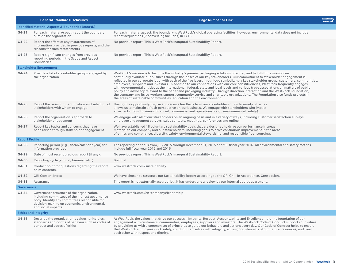|                       | <b>General Standard Disclosures</b>                                                                                                                                                                                | <b>Page Number or Link</b>                                                                                                                                                                                                                                                                                                                                                                                                                                                                                                                                                                                                                                                                                                                                                                                                                                                                                                                                                                                 | <b>Externally</b><br><b>Assured</b> |
|-----------------------|--------------------------------------------------------------------------------------------------------------------------------------------------------------------------------------------------------------------|------------------------------------------------------------------------------------------------------------------------------------------------------------------------------------------------------------------------------------------------------------------------------------------------------------------------------------------------------------------------------------------------------------------------------------------------------------------------------------------------------------------------------------------------------------------------------------------------------------------------------------------------------------------------------------------------------------------------------------------------------------------------------------------------------------------------------------------------------------------------------------------------------------------------------------------------------------------------------------------------------------|-------------------------------------|
|                       | <b>Identified Material Aspects &amp; Boundaries (cont'd.)</b>                                                                                                                                                      |                                                                                                                                                                                                                                                                                                                                                                                                                                                                                                                                                                                                                                                                                                                                                                                                                                                                                                                                                                                                            |                                     |
| $G4-21$               | For each material Aspect, report the boundary<br>outside the organization                                                                                                                                          | For each material aspect, the boundary is WestRock's global operating facilities; however, environmental data does not include<br>recent acquisitions (7 converting facilities) in FY16.                                                                                                                                                                                                                                                                                                                                                                                                                                                                                                                                                                                                                                                                                                                                                                                                                   |                                     |
| $G4-22$               | Report the effect of any restatements of<br>information provided in previous reports, and the<br>reasons for such restatements                                                                                     | No previous report. This is WestRock's inaugural Sustainability Report.                                                                                                                                                                                                                                                                                                                                                                                                                                                                                                                                                                                                                                                                                                                                                                                                                                                                                                                                    |                                     |
| $G4-23$               | Report significant changes from previous<br>reporting periods in the Scope and Aspect<br><b>Boundaries</b>                                                                                                         | No previous report. This is WestRock's inaugural Sustainability Report.                                                                                                                                                                                                                                                                                                                                                                                                                                                                                                                                                                                                                                                                                                                                                                                                                                                                                                                                    |                                     |
|                       | <b>Stakeholder Engagement</b>                                                                                                                                                                                      |                                                                                                                                                                                                                                                                                                                                                                                                                                                                                                                                                                                                                                                                                                                                                                                                                                                                                                                                                                                                            |                                     |
| $G4 - 24$             | Provide a list of stakeholder groups engaged by<br>the organization                                                                                                                                                | WestRock's mission is to become the industry's premier packaging solutions provider, and to fulfill this mission we<br>continually evaluate our business through the lenses of our key stakeholders. Our commitment to stakeholder engagement is<br>reflected in our corporate logo, with each of the five layers in our logo symbolizing a key stakeholder group: customers, communities,<br>employees, suppliers and investors. In addition to our connections with our core constituencies, WestRock frequently engages<br>with governmental entities at the international, federal, state and local levels and various trade associations on matters of public<br>policy and advocacy relevant to the paper and packaging industry. Through direction interaction and the WestRock Foundation,<br>the company and its co-workers support community service and charitable organizations. The Foundation also funds projects in<br>the areas of sustainable communities, education and the environment. |                                     |
| $G4-25$               | Report the basis for identification and selection of<br>stakeholders with whom to engage                                                                                                                           | Having the opportunity to give and receive feedback from our stakeholders on wide variety of issues<br>allows us to maintain a fresh perspective on our business. We engage with stakeholders who impact<br>all aspects of our business: financial, commercial and operational (e.g., environmental, safety).                                                                                                                                                                                                                                                                                                                                                                                                                                                                                                                                                                                                                                                                                              |                                     |
| G4-26                 | Report the organization's approach to<br>stakeholder engagement                                                                                                                                                    | We engage with all of our stakeholders on an ongoing basis and in a variety of ways, including customer satisfaction surveys,<br>employee engagement surveys, sales contacts, meetings, conferences and online.                                                                                                                                                                                                                                                                                                                                                                                                                                                                                                                                                                                                                                                                                                                                                                                            |                                     |
| $G4-27$               | Report key topics and concerns that have<br>been raised through stakeholder engagement                                                                                                                             | We have established 18 voluntary sustainability goals that are designed to drive our performance in areas<br>material to our company and our stakeholders, including goals to drive continuous improvement in the areas<br>of ethics and compliance, diversity, safety, environmental stewardship, and responsible fiber sourcing.                                                                                                                                                                                                                                                                                                                                                                                                                                                                                                                                                                                                                                                                         |                                     |
| <b>Report Profile</b> |                                                                                                                                                                                                                    |                                                                                                                                                                                                                                                                                                                                                                                                                                                                                                                                                                                                                                                                                                                                                                                                                                                                                                                                                                                                            |                                     |
| $G4-28$               | Reporting period (e.g., fiscal/calendar year) for<br>information provided.                                                                                                                                         | The reporting period is from July 2015 through December 31, 2015 and full fiscal year 2016. All environmental and safety metrics<br>include full fiscal year 2015 and 2016                                                                                                                                                                                                                                                                                                                                                                                                                                                                                                                                                                                                                                                                                                                                                                                                                                 |                                     |
| $G4-29$               | Date of most recent previous report (if any).                                                                                                                                                                      | No previous report. This is WestRock's inaugural Sustainability Report.                                                                                                                                                                                                                                                                                                                                                                                                                                                                                                                                                                                                                                                                                                                                                                                                                                                                                                                                    |                                     |
| G4-30                 | Reporting cycle (annual, biennial, etc.)                                                                                                                                                                           | Biennial                                                                                                                                                                                                                                                                                                                                                                                                                                                                                                                                                                                                                                                                                                                                                                                                                                                                                                                                                                                                   |                                     |
| $G4-31$               | Contact point for questions regarding the report<br>or its contents.                                                                                                                                               | www.westrock.com/sustainability                                                                                                                                                                                                                                                                                                                                                                                                                                                                                                                                                                                                                                                                                                                                                                                                                                                                                                                                                                            |                                     |
| $G4-32$               | <b>GRI Content Index</b>                                                                                                                                                                                           | We have chosen to structure our Sustainability Report according to the GRI G4-In Accordance, Core option.                                                                                                                                                                                                                                                                                                                                                                                                                                                                                                                                                                                                                                                                                                                                                                                                                                                                                                  |                                     |
| $G4-33$               | Assurance                                                                                                                                                                                                          | This report is not externally assured, but it has undergone a review by our internal audit department.                                                                                                                                                                                                                                                                                                                                                                                                                                                                                                                                                                                                                                                                                                                                                                                                                                                                                                     |                                     |
| <b>Governance</b>     |                                                                                                                                                                                                                    |                                                                                                                                                                                                                                                                                                                                                                                                                                                                                                                                                                                                                                                                                                                                                                                                                                                                                                                                                                                                            |                                     |
| $G4-34$               | Governance structure of the organization,<br>including committees of the highest governance<br>body. Identify any committees responsible for<br>decision-making on economic, environmental,<br>and social impacts. | www.westrock.com/en/company#leadership                                                                                                                                                                                                                                                                                                                                                                                                                                                                                                                                                                                                                                                                                                                                                                                                                                                                                                                                                                     |                                     |
|                       | <b>Ethics and Integrity</b>                                                                                                                                                                                        |                                                                                                                                                                                                                                                                                                                                                                                                                                                                                                                                                                                                                                                                                                                                                                                                                                                                                                                                                                                                            |                                     |
| G4-56                 | Describe the organization's values, principles,<br>standards and norms of behavior such as codes of<br>conduct and codes of ethics                                                                                 | At WestRock, the values that drive our success—Integrity, Respect, Accountability and Excellence—are the foundation of our<br>engagement with customers, communities, employees, suppliers and investors. The WestRock Code of Conduct supports our values<br>by providing us with a common set of principles to quide our behaviors and actions every day. Our Code of Conduct helps to ensure<br>that WestRock employees work safely, conduct themselves with integrity, act as good stewards of our natural resources, and treat<br>each other with respect and dignity.                                                                                                                                                                                                                                                                                                                                                                                                                                |                                     |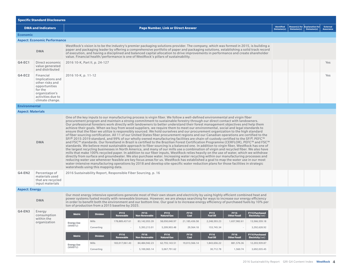| Identified<br><b>DMA and Indicators</b><br><b>Page Number, Link or Direct Answer</b><br>Omission(s)<br><b>Economic</b><br><b>Aspect: Economic Performance</b><br>WestRock's vision is to be the industry's premier packaging solutions provider. The company, which was formed in 2015, is building a<br>paper and packaging leader by offering a comprehensive portfolio of paper and packaging solutions, establishing a solid track record<br><b>DMA</b><br>of execution, and having a disciplined and balanced capital allocation to drive improvements in performance and create shareholder<br>value. Financial health/performance is one of WestRock's pillars of sustainability.<br>$G4-EC1$<br>Direct economic<br>2016 10-K, Part II, p. 24-127<br>value generated<br>and distributed<br>$G4-EC2$<br>Financial<br>2016 10-K, p. 11-12                                                                                                                                                                                                                                                                                                                                                                                                                                                                                                                                                                                                                                                                                                                                                                                                                                                                                                                                                                                                                                                                                                                                     | Reason(s) for $\left \frac{\text{Explanation for}}{\text{Omission(s)}}\right $ | <b>External</b><br><b>Assurance</b><br>Yes |
|------------------------------------------------------------------------------------------------------------------------------------------------------------------------------------------------------------------------------------------------------------------------------------------------------------------------------------------------------------------------------------------------------------------------------------------------------------------------------------------------------------------------------------------------------------------------------------------------------------------------------------------------------------------------------------------------------------------------------------------------------------------------------------------------------------------------------------------------------------------------------------------------------------------------------------------------------------------------------------------------------------------------------------------------------------------------------------------------------------------------------------------------------------------------------------------------------------------------------------------------------------------------------------------------------------------------------------------------------------------------------------------------------------------------------------------------------------------------------------------------------------------------------------------------------------------------------------------------------------------------------------------------------------------------------------------------------------------------------------------------------------------------------------------------------------------------------------------------------------------------------------------------------------------------------------------------------------------------------------|--------------------------------------------------------------------------------|--------------------------------------------|
|                                                                                                                                                                                                                                                                                                                                                                                                                                                                                                                                                                                                                                                                                                                                                                                                                                                                                                                                                                                                                                                                                                                                                                                                                                                                                                                                                                                                                                                                                                                                                                                                                                                                                                                                                                                                                                                                                                                                                                                    |                                                                                |                                            |
|                                                                                                                                                                                                                                                                                                                                                                                                                                                                                                                                                                                                                                                                                                                                                                                                                                                                                                                                                                                                                                                                                                                                                                                                                                                                                                                                                                                                                                                                                                                                                                                                                                                                                                                                                                                                                                                                                                                                                                                    |                                                                                |                                            |
|                                                                                                                                                                                                                                                                                                                                                                                                                                                                                                                                                                                                                                                                                                                                                                                                                                                                                                                                                                                                                                                                                                                                                                                                                                                                                                                                                                                                                                                                                                                                                                                                                                                                                                                                                                                                                                                                                                                                                                                    |                                                                                |                                            |
|                                                                                                                                                                                                                                                                                                                                                                                                                                                                                                                                                                                                                                                                                                                                                                                                                                                                                                                                                                                                                                                                                                                                                                                                                                                                                                                                                                                                                                                                                                                                                                                                                                                                                                                                                                                                                                                                                                                                                                                    |                                                                                |                                            |
|                                                                                                                                                                                                                                                                                                                                                                                                                                                                                                                                                                                                                                                                                                                                                                                                                                                                                                                                                                                                                                                                                                                                                                                                                                                                                                                                                                                                                                                                                                                                                                                                                                                                                                                                                                                                                                                                                                                                                                                    |                                                                                |                                            |
| Implications and<br>other risks and<br>opportunities<br>for the<br>organization's<br>activities due to<br>climate change.                                                                                                                                                                                                                                                                                                                                                                                                                                                                                                                                                                                                                                                                                                                                                                                                                                                                                                                                                                                                                                                                                                                                                                                                                                                                                                                                                                                                                                                                                                                                                                                                                                                                                                                                                                                                                                                          |                                                                                | Yes                                        |
| <b>Environmental</b>                                                                                                                                                                                                                                                                                                                                                                                                                                                                                                                                                                                                                                                                                                                                                                                                                                                                                                                                                                                                                                                                                                                                                                                                                                                                                                                                                                                                                                                                                                                                                                                                                                                                                                                                                                                                                                                                                                                                                               |                                                                                |                                            |
| <b>Aspect: Materials</b>                                                                                                                                                                                                                                                                                                                                                                                                                                                                                                                                                                                                                                                                                                                                                                                                                                                                                                                                                                                                                                                                                                                                                                                                                                                                                                                                                                                                                                                                                                                                                                                                                                                                                                                                                                                                                                                                                                                                                           |                                                                                |                                            |
| One of the key inputs to our manufacturing process is virgin fiber. We follow a well-defined environmental and virgin fiber<br>procurement program and maintain a strong commitment to sustainable forestry through our direct contact with landowners.<br>Our professional foresters work directly with landowners to better understand their forest management objectives and help them<br>achieve their goals. When we buy from wood suppliers, we require them to meet our environmental, social and legal standards to<br>ensure that the fiber we utilize is responsibly sourced. We hold ourselves and our procurement organization to the high standard<br>of fiber sourcing certification. All 11 of our United States fiber procurement regions and our Canadian operations are certified to the<br>SFI® 2015-2019 standard, and 99% of our wholly owned manufacturing facilities are chain-of-custody certified to the SFI®, PEFC™<br>and FSC™ standards. Our forestland in Brazil is certified to the Brazilian Forest Certification Programme (CERFLOR), PEFC™ and FSC™<br><b>DMA</b><br>standards. We believe most sustainable approach to fiber sourcing is a balanced one. In addition to virgin fiber, WestRock has one of<br>the largest recycling businesses in North America, and many of our mills use a combination of virgin and recycled fiber. We also have<br>mills that make 100% recycled paper. In addition to our fiber inputs, WestRock relies heavily on the use of water, which we withdraw<br>directly from surface and groundwater. We also purchase water. Increasing water recycling within our manufacturing processes and<br>reducing water use whenever feasible are key focus areas for us. WestRock has established a goal to map the water use in our most<br>water-intensive manufacturing operations by 2018 and develop site-specific water reduction plans for those facilities in strategic<br>watersheds using this mapping data. |                                                                                |                                            |
| $G4$ -EN2<br>Percentage of<br>2016 Sustainability Report, Responsible Fiber Sourcing, p. 16<br>materials used<br>that are recycled<br>input materials                                                                                                                                                                                                                                                                                                                                                                                                                                                                                                                                                                                                                                                                                                                                                                                                                                                                                                                                                                                                                                                                                                                                                                                                                                                                                                                                                                                                                                                                                                                                                                                                                                                                                                                                                                                                                              |                                                                                |                                            |
| <b>Aspect: Energy</b>                                                                                                                                                                                                                                                                                                                                                                                                                                                                                                                                                                                                                                                                                                                                                                                                                                                                                                                                                                                                                                                                                                                                                                                                                                                                                                                                                                                                                                                                                                                                                                                                                                                                                                                                                                                                                                                                                                                                                              |                                                                                |                                            |
| Our most energy intensive operations generate most of their own steam and electricity by using highly efficient combined heat and<br>power systems fueled mostly with renewable biomass. However, we are always searching for ways to increase our energy efficiency<br><b>DMA</b><br>in order to benefit both the environment and our bottom line. Our goal is to increase energy efficiency of purchased fuels by 10% per<br>ton of production from a 2015 baseline by 2025.                                                                                                                                                                                                                                                                                                                                                                                                                                                                                                                                                                                                                                                                                                                                                                                                                                                                                                                                                                                                                                                                                                                                                                                                                                                                                                                                                                                                                                                                                                     |                                                                                |                                            |
| $G4$ -EN3<br>Energy<br><b>FY15 Purchased</b><br><b>FY15</b><br><b>FY15</b><br><b>FY15</b><br><b>FY15</b><br><b>FY15</b><br><b>FY15</b><br><b>Metric</b><br><b>Division</b><br>consumption<br>Coal<br><b>Fuel Oil</b><br>tural Ga<br>:her Fo:<br>Electricity (net)<br>enewa                                                                                                                                                                                                                                                                                                                                                                                                                                                                                                                                                                                                                                                                                                                                                                                                                                                                                                                                                                                                                                                                                                                                                                                                                                                                                                                                                                                                                                                                                                                                                                                                                                                                                                         |                                                                                |                                            |
| within the<br>Mills<br>178,889,437.61<br>83, 142, 053. 39<br>58,050,040.97<br>21,185,436.58<br>2,248,593.23<br>1,657,982.61<br>13,566,559.18<br>organization<br><b>Energy Use</b>                                                                                                                                                                                                                                                                                                                                                                                                                                                                                                                                                                                                                                                                                                                                                                                                                                                                                                                                                                                                                                                                                                                                                                                                                                                                                                                                                                                                                                                                                                                                                                                                                                                                                                                                                                                                  |                                                                                |                                            |
| (MMBTU)<br>5,393,213.01<br>5,209,903.48<br>153,745.34<br>3.292.628.92<br>Converting<br>29,564.18                                                                                                                                                                                                                                                                                                                                                                                                                                                                                                                                                                                                                                                                                                                                                                                                                                                                                                                                                                                                                                                                                                                                                                                                                                                                                                                                                                                                                                                                                                                                                                                                                                                                                                                                                                                                                                                                                   |                                                                                |                                            |
| <b>FY16</b><br><b>FY16</b><br><b>FY16</b><br><b>FY16</b><br><b>FY16</b><br><b>FY16</b><br><b>FY16 Purchased</b><br><b>Division</b><br><b>Metric</b><br>Renewable<br>Non-Renewable<br>Coal<br><b>Fuel Oil</b><br><b>Other Fossil</b><br>Electricity (net)<br><b>Natural Gas</b>                                                                                                                                                                                                                                                                                                                                                                                                                                                                                                                                                                                                                                                                                                                                                                                                                                                                                                                                                                                                                                                                                                                                                                                                                                                                                                                                                                                                                                                                                                                                                                                                                                                                                                     |                                                                                |                                            |
| 84,484,942.23<br>Mills<br>183,017,061.43<br>62,755,143.51<br>19,013,566.14<br>1,843,656.22<br>881,576.36<br>12.203.939.87<br><b>Energy Use</b>                                                                                                                                                                                                                                                                                                                                                                                                                                                                                                                                                                                                                                                                                                                                                                                                                                                                                                                                                                                                                                                                                                                                                                                                                                                                                                                                                                                                                                                                                                                                                                                                                                                                                                                                                                                                                                     |                                                                                |                                            |
| (MMBTU)<br>Convertina<br>5,100,065.14<br>5,067,791.62<br>30,712.78<br>1,560.74<br>3,692,035.45                                                                                                                                                                                                                                                                                                                                                                                                                                                                                                                                                                                                                                                                                                                                                                                                                                                                                                                                                                                                                                                                                                                                                                                                                                                                                                                                                                                                                                                                                                                                                                                                                                                                                                                                                                                                                                                                                     |                                                                                |                                            |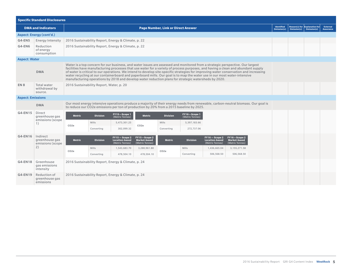| <b>Specific Standard Disclosures</b> |                                                           |                                           |                                                                                                                                                                                                                                                                                                                                                                                                                                                                                                                                                                                                                                                 |                                                             |                                                                                         |                            |                                 |                                                             |                                                                                                                                   |             |                                              |                                     |  |  |
|--------------------------------------|-----------------------------------------------------------|-------------------------------------------|-------------------------------------------------------------------------------------------------------------------------------------------------------------------------------------------------------------------------------------------------------------------------------------------------------------------------------------------------------------------------------------------------------------------------------------------------------------------------------------------------------------------------------------------------------------------------------------------------------------------------------------------------|-------------------------------------------------------------|-----------------------------------------------------------------------------------------|----------------------------|---------------------------------|-------------------------------------------------------------|-----------------------------------------------------------------------------------------------------------------------------------|-------------|----------------------------------------------|-------------------------------------|--|--|
|                                      | <b>DMA and Indicators</b>                                 | <b>Page Number, Link or Direct Answer</b> |                                                                                                                                                                                                                                                                                                                                                                                                                                                                                                                                                                                                                                                 |                                                             |                                                                                         |                            |                                 |                                                             | <b>Identified</b><br>Omission(s)                                                                                                  | Omission(s) | Reason(s) for Explanation for<br>Omission(s) | <b>External</b><br><b>Assurance</b> |  |  |
|                                      | Aspect: Energy (cont'd.)                                  |                                           |                                                                                                                                                                                                                                                                                                                                                                                                                                                                                                                                                                                                                                                 |                                                             |                                                                                         |                            |                                 |                                                             |                                                                                                                                   |             |                                              |                                     |  |  |
| $G4$ -EN5                            | <b>Energy Intensity</b>                                   |                                           |                                                                                                                                                                                                                                                                                                                                                                                                                                                                                                                                                                                                                                                 | 2016 Sustainability Report, Energy & Climate, p. 22         |                                                                                         |                            |                                 |                                                             |                                                                                                                                   |             |                                              |                                     |  |  |
| G4-EN6                               | Reduction<br>of energy<br>consumption                     |                                           |                                                                                                                                                                                                                                                                                                                                                                                                                                                                                                                                                                                                                                                 | 2016 Sustainability Report, Energy & Climate, p. 22         |                                                                                         |                            |                                 |                                                             |                                                                                                                                   |             |                                              |                                     |  |  |
| <b>Aspect: Water</b>                 |                                                           |                                           |                                                                                                                                                                                                                                                                                                                                                                                                                                                                                                                                                                                                                                                 |                                                             |                                                                                         |                            |                                 |                                                             |                                                                                                                                   |             |                                              |                                     |  |  |
|                                      | <b>DMA</b>                                                |                                           | Water is a top concern for our business, and water issues are assessed and monitored from a strategic perspective. Our largest<br>facilities have manufacturing processes that use water for a variety of process purposes, and having a clean and abundant supply<br>of water is critical to our operations. We intend to develop site-specific strategies for improving water conservation and increasing<br>water recycling at our containerboard and paperboard mills. Our goal is to map the water use in our most water-intensive<br>manufacturing operations by 2018 and develop water reduction plans for strategic watersheds by 2020. |                                                             |                                                                                         |                            |                                 |                                                             |                                                                                                                                   |             |                                              |                                     |  |  |
| EN <sub>8</sub>                      | <b>Total water</b><br>withdrawal by<br>source.            |                                           | 2016 Sustainability Report, Water, p. 20                                                                                                                                                                                                                                                                                                                                                                                                                                                                                                                                                                                                        |                                                             |                                                                                         |                            |                                 |                                                             |                                                                                                                                   |             |                                              |                                     |  |  |
| <b>Aspect: Emissions</b>             |                                                           |                                           |                                                                                                                                                                                                                                                                                                                                                                                                                                                                                                                                                                                                                                                 |                                                             |                                                                                         |                            |                                 |                                                             |                                                                                                                                   |             |                                              |                                     |  |  |
|                                      | <b>DMA</b>                                                |                                           |                                                                                                                                                                                                                                                                                                                                                                                                                                                                                                                                                                                                                                                 |                                                             | to reduce our CO2e emissions per ton of production by 20% from a 2015 baseline by 2025. |                            |                                 |                                                             | Our most energy intensive operations produce a majority of their energy needs from renewable, carbon-neutral biomass. Our goal is |             |                                              |                                     |  |  |
| G4-EN15                              | <b>Direct</b><br>greenhouse gas<br>emissions (scope<br>1) | <b>Metric</b>                             | <b>Division</b>                                                                                                                                                                                                                                                                                                                                                                                                                                                                                                                                                                                                                                 | FY15-Scope 1<br>(Metric Tonnes)                             | <b>Metric</b>                                                                           | <b>Division</b>            | FY16-Scope 1<br>(Metric Tonnes) |                                                             |                                                                                                                                   |             |                                              |                                     |  |  |
|                                      |                                                           | CO <sub>2e</sub>                          | <b>Mills</b><br>Converting                                                                                                                                                                                                                                                                                                                                                                                                                                                                                                                                                                                                                      | 5.473.301.25<br>302,099.32                                  | CO <sub>2e</sub>                                                                        | <b>Mills</b><br>Converting | 5.397.183.66<br>272,737.06      |                                                             |                                                                                                                                   |             |                                              |                                     |  |  |
| G4-EN16                              | Indirect<br>greenhouse gas<br>emissions (scope<br>2)      | <b>Metric</b>                             | <b>Division</b>                                                                                                                                                                                                                                                                                                                                                                                                                                                                                                                                                                                                                                 | $FY15 - Score2$<br><b>Location-based</b><br>(Metric Tonnes) | FY15-Scope 2<br><b>Market-based</b><br>(Metric Tonnes)                                  | <b>Metric</b>              | <b>Division</b>                 | $FY16 - Score2$<br><b>Location-based</b><br>(Metric Tonnes) | FY16-Scope 2<br><b>Market-based</b><br>(Metric Tonnes)                                                                            |             |                                              |                                     |  |  |
|                                      |                                                           | CO <sub>2</sub> e                         | Mills                                                                                                                                                                                                                                                                                                                                                                                                                                                                                                                                                                                                                                           | 1,543,683.70                                                | 3,280,961.80                                                                            | CO <sub>2</sub> e          | <b>Mills</b>                    | 1,436,665.04                                                | 3, 155, 271.58                                                                                                                    |             |                                              |                                     |  |  |
|                                      |                                                           |                                           | Converting                                                                                                                                                                                                                                                                                                                                                                                                                                                                                                                                                                                                                                      | 478,504.10                                                  | 478,504.10                                                                              |                            | Converting                      | 506,568.50                                                  | 506,568.50                                                                                                                        |             |                                              |                                     |  |  |
| G4-EN18                              | Greenhouse<br>gas emissions<br>intensity                  |                                           | 2016 Sustainability Report, Energy & Climate, p. 24                                                                                                                                                                                                                                                                                                                                                                                                                                                                                                                                                                                             |                                                             |                                                                                         |                            |                                 |                                                             |                                                                                                                                   |             |                                              |                                     |  |  |
| G4-EN19                              | Reduction of<br>greenhouse gas<br>emissions               |                                           |                                                                                                                                                                                                                                                                                                                                                                                                                                                                                                                                                                                                                                                 | 2016 Sustainability Report, Energy & Climate, p. 24         |                                                                                         |                            |                                 |                                                             |                                                                                                                                   |             |                                              |                                     |  |  |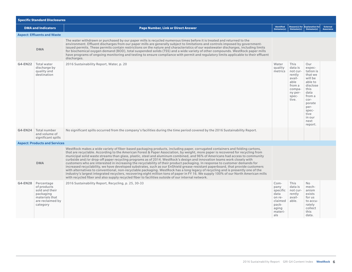| <b>Specific Standard Disclosures</b> |                                                                                                            |                                                                                                                                                                                                                                                                                                                                                                                                                                                                                                                                                                                                                                                                                                                                                                                                                                                                                                                                                                                                                                                                                                                                                                                |                                                                                           |                                                                                                          |                                                                                                                                                                           |                                     |  |  |  |
|--------------------------------------|------------------------------------------------------------------------------------------------------------|--------------------------------------------------------------------------------------------------------------------------------------------------------------------------------------------------------------------------------------------------------------------------------------------------------------------------------------------------------------------------------------------------------------------------------------------------------------------------------------------------------------------------------------------------------------------------------------------------------------------------------------------------------------------------------------------------------------------------------------------------------------------------------------------------------------------------------------------------------------------------------------------------------------------------------------------------------------------------------------------------------------------------------------------------------------------------------------------------------------------------------------------------------------------------------|-------------------------------------------------------------------------------------------|----------------------------------------------------------------------------------------------------------|---------------------------------------------------------------------------------------------------------------------------------------------------------------------------|-------------------------------------|--|--|--|
|                                      | <b>DMA and Indicators</b>                                                                                  | <b>Page Number, Link or Direct Answer</b>                                                                                                                                                                                                                                                                                                                                                                                                                                                                                                                                                                                                                                                                                                                                                                                                                                                                                                                                                                                                                                                                                                                                      | Identified<br>Omission(s)                                                                 | Omission(s)                                                                                              | Reason(s) for Explanation for<br>Omission(s)                                                                                                                              | <b>External</b><br><b>Assurance</b> |  |  |  |
|                                      | <b>Aspect: Effluents and Waste</b>                                                                         |                                                                                                                                                                                                                                                                                                                                                                                                                                                                                                                                                                                                                                                                                                                                                                                                                                                                                                                                                                                                                                                                                                                                                                                |                                                                                           |                                                                                                          |                                                                                                                                                                           |                                     |  |  |  |
|                                      | <b>DMA</b>                                                                                                 | The water withdrawn or purchased by our paper mills is recycled numerous times before it is treated and returned to the<br>environment. Effluent discharges from our paper mills are generally subject to limitations and controls imposed by government-<br>issued permits. These permits contain restrictions on the nature and characteristics of our wastewater discharges, including limits<br>for biochemical oxygen demand (BOD), total suspended solids (TSS) and a wide variety of other compounds. WestRock paper mills<br>have programs of ongoing monitoring and testing to ensure compliance with permit and regulatory limits applicable to their effluent<br>discharges.                                                                                                                                                                                                                                                                                                                                                                                                                                                                                        |                                                                                           |                                                                                                          |                                                                                                                                                                           |                                     |  |  |  |
| G4-EN22                              | Total water<br>discharge by<br>quality and<br>destination                                                  | 2016 Sustainability Report, Water, p. 20                                                                                                                                                                                                                                                                                                                                                                                                                                                                                                                                                                                                                                                                                                                                                                                                                                                                                                                                                                                                                                                                                                                                       | Water<br>quality<br>metrics                                                               | This<br>data is<br>not cur-<br>rently<br>avail-<br>able<br>from a<br>compa-<br>ny per-<br>spec-<br>tive. | Our<br>expec-<br>tation is<br>that we<br>will be<br>able to<br>disclose<br>this<br>data<br>from a<br>cor-<br>porate<br>per-<br>spec-<br>tive<br>in our<br>next<br>report. |                                     |  |  |  |
| G4-EN24                              | Total number<br>and volume of<br>significant spills                                                        | No significant spills occurred from the company's facilities during the time period covered by the 2016 Sustainability Report.                                                                                                                                                                                                                                                                                                                                                                                                                                                                                                                                                                                                                                                                                                                                                                                                                                                                                                                                                                                                                                                 |                                                                                           |                                                                                                          |                                                                                                                                                                           |                                     |  |  |  |
|                                      | <b>Aspect: Products and Services</b>                                                                       |                                                                                                                                                                                                                                                                                                                                                                                                                                                                                                                                                                                                                                                                                                                                                                                                                                                                                                                                                                                                                                                                                                                                                                                |                                                                                           |                                                                                                          |                                                                                                                                                                           |                                     |  |  |  |
|                                      | <b>DMA</b>                                                                                                 | WestRock makes a wide variety of fiber-based packaging products, including paper, corrugated containers and folding cartons,<br>that are recyclable. According to the American Forest & Paper Association, by weight, more paper is recovered for recycling from<br>municipal solid waste streams than glass, plastic, steel and aluminum combined, and 96% of Americans had access to community<br>curbside and/or drop-off paper recycling programs as of 2014. WestRock's design and innovation teams work closely with<br>customers who are interested in increasing the recyclability of their product packaging. In response to customer demands for<br>increased recyclability, we have developed substrates, such as our EnShield grease-resistant paperboard, that provide customers<br>with alternatives to conventional, non-recyclable packaging. WestRock has a long legacy of recycling and is presently one of the<br>industry's largest integrated recyclers, recovering eight million tons of paper in FY 16. We supply 100% of our North American mills<br>with recycled fiber and also supply recycled fiber to facilities outside of our internal network. |                                                                                           |                                                                                                          |                                                                                                                                                                           |                                     |  |  |  |
| G4-EN28                              | Percentage<br>of products<br>sold and their<br>packaging<br>materials that<br>are reclaimed by<br>category | 2016 Sustainability Report, Recycling, p. 25, 30-33                                                                                                                                                                                                                                                                                                                                                                                                                                                                                                                                                                                                                                                                                                                                                                                                                                                                                                                                                                                                                                                                                                                            | Com-<br>pany<br>specific<br>data<br>on re-<br>claimed<br>pack-<br>aging<br>materi-<br>als | This<br>data is<br>not cur-<br>rently<br>avail-<br>able.                                                 | <b>No</b><br>mech-<br>anism<br>exists<br>for us<br>to accu-<br>rately<br>collect<br>this<br>data.                                                                         |                                     |  |  |  |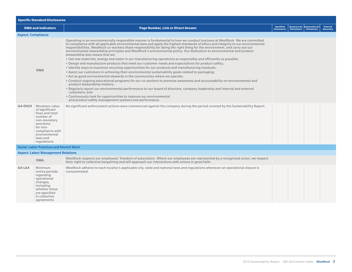| <b>Specific Standard Disclosures</b> |                                                                                                                                                                           |                                                                                                                                                                                                                                                                                                                                                                                                                                                                                                                                                                                                                                                                                                                                                                                                                                                                                                                                                                                                                                                                                                                                                                                                                                                                                                                                                                                                                                                                                                                        |                           |             |                                                                                                                                                                                                                                                                                                                                                                                                                                                                                          |                                     |  |  |  |
|--------------------------------------|---------------------------------------------------------------------------------------------------------------------------------------------------------------------------|------------------------------------------------------------------------------------------------------------------------------------------------------------------------------------------------------------------------------------------------------------------------------------------------------------------------------------------------------------------------------------------------------------------------------------------------------------------------------------------------------------------------------------------------------------------------------------------------------------------------------------------------------------------------------------------------------------------------------------------------------------------------------------------------------------------------------------------------------------------------------------------------------------------------------------------------------------------------------------------------------------------------------------------------------------------------------------------------------------------------------------------------------------------------------------------------------------------------------------------------------------------------------------------------------------------------------------------------------------------------------------------------------------------------------------------------------------------------------------------------------------------------|---------------------------|-------------|------------------------------------------------------------------------------------------------------------------------------------------------------------------------------------------------------------------------------------------------------------------------------------------------------------------------------------------------------------------------------------------------------------------------------------------------------------------------------------------|-------------------------------------|--|--|--|
| <b>DMA and Indicators</b>            |                                                                                                                                                                           | <b>Page Number, Link or Direct Answer</b>                                                                                                                                                                                                                                                                                                                                                                                                                                                                                                                                                                                                                                                                                                                                                                                                                                                                                                                                                                                                                                                                                                                                                                                                                                                                                                                                                                                                                                                                              | Identified<br>Omission(s) | Omission(s) | Reason(s) for Explanation for<br>$\overline{\text{O}}$ $\overline{\text{O}}$ $\overline{\text{O}}$ $\overline{\text{O}}$ $\overline{\text{O}}$ $\overline{\text{O}}$ $\overline{\text{O}}$ $\overline{\text{O}}$ $\overline{\text{O}}$ $\overline{\text{O}}$ $\overline{\text{O}}$ $\overline{\text{O}}$ $\overline{\text{O}}$ $\overline{\text{O}}$ $\overline{\text{O}}$ $\overline{\text{O}}$ $\overline{\text{O}}$ $\overline{\text{O}}$ $\overline{\text{O}}$ $\overline{\text{O}}$ | <b>External</b><br><b>Assurance</b> |  |  |  |
| <b>Aspect: Compliance</b>            |                                                                                                                                                                           |                                                                                                                                                                                                                                                                                                                                                                                                                                                                                                                                                                                                                                                                                                                                                                                                                                                                                                                                                                                                                                                                                                                                                                                                                                                                                                                                                                                                                                                                                                                        |                           |             |                                                                                                                                                                                                                                                                                                                                                                                                                                                                                          |                                     |  |  |  |
|                                      | <b>DMA</b>                                                                                                                                                                | Operating in an environmentally responsible manner is fundamental to how we conduct business at WestRock. We are committed<br>to compliance with all applicable environmental laws and apply the highest standards of ethics and integrity to our environmental<br>responsibilities. WestRock co-workers share responsibility for doing the right thing for the environment, and carry out our<br>environmental stewardship principles and WestRock's environmental policy. Our dedication to environmental and product<br>stewardship also means that we:<br>. Use raw materials, energy and water in our manufacturing operations as responsibly and efficiently as possible;<br>. Design and manufacture products that meet our customer needs and expectations for product safety;<br>• Identify ways to maximize recycling opportunities for our products and manufacturing residuals;<br>• Assist our customers in achieving their environmental sustainability goals related to packaging;<br>• Act as good environmental stewards in the communities where we operate;<br>• Conduct ongoing educational programs for our co-workers to promote awareness and accountability on environmental and<br>product stewardship matters;<br>• Regularly report our environmental performance to our board of directors, company leadership and internal and external<br>customers: and<br>• Continuously look for opportunities to improve our environmental<br>and product safety management systems and performance. |                           |             |                                                                                                                                                                                                                                                                                                                                                                                                                                                                                          |                                     |  |  |  |
| G4-EN29                              | Monetary value<br>of significant<br>fines and total<br>number of<br>non-monetary<br>sanctions<br>for non-<br>compliance with<br>environmental<br>laws and<br>regulations. | No significant enforcement actions were commenced against the company during the period covered by the Sustainability Report.                                                                                                                                                                                                                                                                                                                                                                                                                                                                                                                                                                                                                                                                                                                                                                                                                                                                                                                                                                                                                                                                                                                                                                                                                                                                                                                                                                                          |                           |             |                                                                                                                                                                                                                                                                                                                                                                                                                                                                                          |                                     |  |  |  |
|                                      | <b>Social: Labor Practices and Decent Work</b>                                                                                                                            |                                                                                                                                                                                                                                                                                                                                                                                                                                                                                                                                                                                                                                                                                                                                                                                                                                                                                                                                                                                                                                                                                                                                                                                                                                                                                                                                                                                                                                                                                                                        |                           |             |                                                                                                                                                                                                                                                                                                                                                                                                                                                                                          |                                     |  |  |  |
|                                      | <b>Aspect: Labor/Management Relations</b>                                                                                                                                 |                                                                                                                                                                                                                                                                                                                                                                                                                                                                                                                                                                                                                                                                                                                                                                                                                                                                                                                                                                                                                                                                                                                                                                                                                                                                                                                                                                                                                                                                                                                        |                           |             |                                                                                                                                                                                                                                                                                                                                                                                                                                                                                          |                                     |  |  |  |
|                                      | <b>DMA</b>                                                                                                                                                                | WestRock respects our employees' freedom of association. Where our employees are represented by a recognized union, we respect<br>their right to collective bargaining and will approach our interactions with unions in good faith.                                                                                                                                                                                                                                                                                                                                                                                                                                                                                                                                                                                                                                                                                                                                                                                                                                                                                                                                                                                                                                                                                                                                                                                                                                                                                   |                           |             |                                                                                                                                                                                                                                                                                                                                                                                                                                                                                          |                                     |  |  |  |
| $G4-LA4$                             | Minimum<br>notice periods<br>regarding<br>operational<br>changes,<br>including<br>whether these<br>are specified<br>in collective<br>agreements                           | WestRock adheres to each locality's applicable city, state and national laws and regulations whenever an operational closure is<br>consummated.                                                                                                                                                                                                                                                                                                                                                                                                                                                                                                                                                                                                                                                                                                                                                                                                                                                                                                                                                                                                                                                                                                                                                                                                                                                                                                                                                                        |                           |             |                                                                                                                                                                                                                                                                                                                                                                                                                                                                                          |                                     |  |  |  |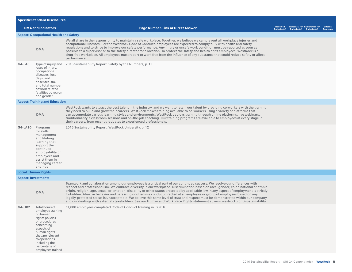| <b>Specific Standard Disclosures</b> |                                                                                                                                                                                                                               |                                                                                                                                                                                                                                                                                                                                                                                                                                                                                                                                                                                                                                                                                                                                                                                                                    |                                  |             |                                                  |                                     |  |  |  |
|--------------------------------------|-------------------------------------------------------------------------------------------------------------------------------------------------------------------------------------------------------------------------------|--------------------------------------------------------------------------------------------------------------------------------------------------------------------------------------------------------------------------------------------------------------------------------------------------------------------------------------------------------------------------------------------------------------------------------------------------------------------------------------------------------------------------------------------------------------------------------------------------------------------------------------------------------------------------------------------------------------------------------------------------------------------------------------------------------------------|----------------------------------|-------------|--------------------------------------------------|-------------------------------------|--|--|--|
|                                      | <b>DMA and Indicators</b>                                                                                                                                                                                                     | <b>Page Number, Link or Direct Answer</b>                                                                                                                                                                                                                                                                                                                                                                                                                                                                                                                                                                                                                                                                                                                                                                          | Identified<br><b>Omission(s)</b> | Omission(s) | Reason(s) for $ Explanation for $<br>Omission(s) | <b>External</b><br><b>Assurance</b> |  |  |  |
|                                      | <b>Aspect: Occupational Health and Safety</b>                                                                                                                                                                                 |                                                                                                                                                                                                                                                                                                                                                                                                                                                                                                                                                                                                                                                                                                                                                                                                                    |                                  |             |                                                  |                                     |  |  |  |
|                                      | <b>DMA</b>                                                                                                                                                                                                                    | We all share in the responsibility to maintain a safe workplace. Together, we believe we can prevent all workplace injuries and<br>occupational illnesses. Per the WestRock Code of Conduct, employees are expected to comply fully with health and safety<br>regulations and to strive to improve our safety performance. Any injury or unsafe work condition must be reported as soon as<br>possible to a supervisor or to the safety director for a location. To protect the safety and health of its employees, WestRock is a<br>drug-free workplace. All employees must report to work free from the influence of any substance that could reduce safety or affect<br>performance.                                                                                                                            |                                  |             |                                                  |                                     |  |  |  |
| G4-LA6                               | Type of injury and<br>rates of injury,<br>occupational<br>diseases, lost<br>days, and<br>absenteeism,<br>and total number<br>of work related<br>fatalities by region<br>and gender                                            | 2016 Sustainability Report, Safety by the Numbers, p. 11                                                                                                                                                                                                                                                                                                                                                                                                                                                                                                                                                                                                                                                                                                                                                           |                                  |             |                                                  |                                     |  |  |  |
|                                      | <b>Aspect: Training and Education</b>                                                                                                                                                                                         |                                                                                                                                                                                                                                                                                                                                                                                                                                                                                                                                                                                                                                                                                                                                                                                                                    |                                  |             |                                                  |                                     |  |  |  |
|                                      | <b>DMA</b>                                                                                                                                                                                                                    | WestRock wants to attract the best talent in the industry, and we want to retain our talent by providing co-workers with the training<br>they need to build and grow their careers. WestRock makes training available to co-workers using a variety of platforms that<br>can accomodate various learning styles and environments. WestRock deploys training through online platforms, live webinars,<br>traditional-style classroom sessions and on-the-job coaching. Our training programs are available to employees at every stage in<br>their careers, from recent graduates to experienced professionals.                                                                                                                                                                                                     |                                  |             |                                                  |                                     |  |  |  |
| G4-LA10                              | Programs<br>for skills<br>management<br>and lifelong<br>learning that<br>support the<br>continued<br>employability of<br>employees and<br>assist them in<br>managing career<br>endings                                        | 2016 Sustainability Report, WestRock University, p. 12                                                                                                                                                                                                                                                                                                                                                                                                                                                                                                                                                                                                                                                                                                                                                             |                                  |             |                                                  |                                     |  |  |  |
|                                      | <b>Social: Human Rights</b>                                                                                                                                                                                                   |                                                                                                                                                                                                                                                                                                                                                                                                                                                                                                                                                                                                                                                                                                                                                                                                                    |                                  |             |                                                  |                                     |  |  |  |
| <b>Aspect: Investments</b>           |                                                                                                                                                                                                                               |                                                                                                                                                                                                                                                                                                                                                                                                                                                                                                                                                                                                                                                                                                                                                                                                                    |                                  |             |                                                  |                                     |  |  |  |
|                                      | <b>DMA</b>                                                                                                                                                                                                                    | Teamwork and collaboration among our employees is a critical part of our continued success. We resolve our differences with<br>respect and professionalism. We embrace diversity in our workplace. Discrimination based on race, gender, color, national or ethnic<br>origin, religion, age, sexual orientation, disability or other status protected by applicable law in any aspect of employment is strictly<br>forbidden. Abusive behavior and harassing or offensive conduct directed at an employee or group of employees based on any<br>legally-protected status is unacceptable. We believe this same level of trust and respect must be demonstrated within our company<br>and our dealings with external stakeholders. See our Human and Workplace Rights statement at www.westrock.com/sustainability. |                                  |             |                                                  |                                     |  |  |  |
| $G4-HR2$                             | Total hours of<br>employee training<br>on human<br>rights policies<br>or procedures<br>concerning<br>aspects of<br>human rights<br>that are relevant<br>to operations,<br>including the<br>percentage of<br>employees trained | 11,000 employees completed Code of Conduct training in FY2016.                                                                                                                                                                                                                                                                                                                                                                                                                                                                                                                                                                                                                                                                                                                                                     |                                  |             |                                                  |                                     |  |  |  |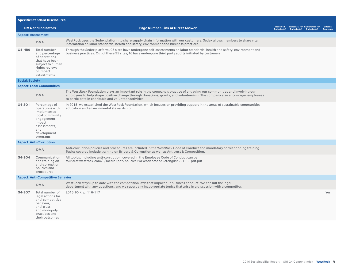| <b>Specific Standard Disclosures</b> |                                                                                                                                               |                                                                                                                                                                                                                                                                                                                 |                           |             |                                              |                                     |  |  |  |
|--------------------------------------|-----------------------------------------------------------------------------------------------------------------------------------------------|-----------------------------------------------------------------------------------------------------------------------------------------------------------------------------------------------------------------------------------------------------------------------------------------------------------------|---------------------------|-------------|----------------------------------------------|-------------------------------------|--|--|--|
| <b>DMA and Indicators</b>            |                                                                                                                                               | <b>Page Number, Link or Direct Answer</b>                                                                                                                                                                                                                                                                       | Identified<br>Omission(s) | Omission(s) | Reason(s) for Explanation for<br>Omission(s) | <b>External</b><br><b>Assurance</b> |  |  |  |
| <b>Aspect: Assessment</b>            |                                                                                                                                               |                                                                                                                                                                                                                                                                                                                 |                           |             |                                              |                                     |  |  |  |
|                                      | <b>DMA</b>                                                                                                                                    | WestRock uses the Sedex platform to share supply chain information with our customers. Sedex allows members to share vital<br>information on labor standards, health and safety, environment and business practices.                                                                                            |                           |             |                                              |                                     |  |  |  |
| $G4-HR9$                             | Total number<br>and percentage<br>of operations<br>that have been<br>subject to human<br>rights reviews<br>or impact<br>assessments           | Through the Sedex platform, 95 sites have undergone self-assessments on labor standards, health and safety, environment and<br>business practices. Out of these 95 sites, 16 have undergone third party audits initiated by customers.                                                                          |                           |             |                                              |                                     |  |  |  |
| <b>Social: Society</b>               |                                                                                                                                               |                                                                                                                                                                                                                                                                                                                 |                           |             |                                              |                                     |  |  |  |
|                                      | <b>Aspect: Local Communities</b>                                                                                                              |                                                                                                                                                                                                                                                                                                                 |                           |             |                                              |                                     |  |  |  |
|                                      | <b>DMA</b>                                                                                                                                    | The WestRock Foundation plays an important role in the company's practice of engaging our communities and involving our<br>employees to help shape positive change through donations, grants, and volunteerism. The company also encourages employees<br>to participate in charitable and volunteer activities. |                           |             |                                              |                                     |  |  |  |
| $G4-SO1$                             | Percentage of<br>operations with<br>implemented<br>local community<br>engagement,<br>impact<br>assessments,<br>and<br>development<br>programs | In 2015, we established the WestRock Foundation, which focuses on providing support in the areas of sustainable communities,<br>education and environmental stewardship.                                                                                                                                        |                           |             |                                              |                                     |  |  |  |
|                                      | <b>Aspect: Anti-Corruption</b>                                                                                                                |                                                                                                                                                                                                                                                                                                                 |                           |             |                                              |                                     |  |  |  |
|                                      | <b>DMA</b>                                                                                                                                    | Anti-corruption policies and procedures are included in the WestRock Code of Conduct and mandatory corresponding training.<br>Topics covered include training on Bribery & Corruption as well as Antitrust & Competition.                                                                                       |                           |             |                                              |                                     |  |  |  |
| G4-SO4                               | Communication<br>and training on<br>anti-corruption<br>policies and<br>procedures                                                             | All topics, including anti-corruption, covered in the Employee Code of Conduct can be<br>found at westrock.com/-/media/pdf/policies/wrkcodeofconductenglish2016-3-pdf.pdf                                                                                                                                       |                           |             |                                              |                                     |  |  |  |
|                                      | <b>Aspect: Anti-Competitive Behavior</b>                                                                                                      |                                                                                                                                                                                                                                                                                                                 |                           |             |                                              |                                     |  |  |  |
|                                      | <b>DMA</b>                                                                                                                                    | WestRock stays up to date with the competition laws that impact our business conduct. We consult the legal<br>department with any questions, and we report any inappropriate topics that arise in a discussion with a competitor.                                                                               |                           |             |                                              |                                     |  |  |  |
| G4-SO7                               | Total number of<br>legal actions for<br>anti-competitive<br>behavior,<br>anti-trust,<br>and monopoly<br>practices and<br>their outcomes       | 2016 10-K, p. 116-117                                                                                                                                                                                                                                                                                           |                           |             |                                              | Yes                                 |  |  |  |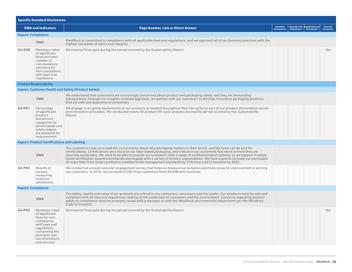| <b>Specific Standard Disclosures</b> |                                                                                                                                                                        |                                                                                                                                                                                                                                                                                                                                                                                                                                                                                                                                                                                                                                                                    |                           |             |                                              |                                     |  |  |  |
|--------------------------------------|------------------------------------------------------------------------------------------------------------------------------------------------------------------------|--------------------------------------------------------------------------------------------------------------------------------------------------------------------------------------------------------------------------------------------------------------------------------------------------------------------------------------------------------------------------------------------------------------------------------------------------------------------------------------------------------------------------------------------------------------------------------------------------------------------------------------------------------------------|---------------------------|-------------|----------------------------------------------|-------------------------------------|--|--|--|
|                                      | <b>DMA and Indicators</b>                                                                                                                                              | <b>Page Number, Link or Direct Answer</b>                                                                                                                                                                                                                                                                                                                                                                                                                                                                                                                                                                                                                          | Identified<br>Omission(s) | Omission(s) | Reason(s) for Explanation for<br>Omission(s) | <b>External</b><br><b>Assurance</b> |  |  |  |
| <b>Aspect: Compliance</b>            |                                                                                                                                                                        |                                                                                                                                                                                                                                                                                                                                                                                                                                                                                                                                                                                                                                                                    |                           |             |                                              |                                     |  |  |  |
|                                      | <b>DMA</b>                                                                                                                                                             | WestRock is committed to compliance with all applicable laws and regulations, and we approach all of our business practices with the<br>highest standards of ethics and integrity.                                                                                                                                                                                                                                                                                                                                                                                                                                                                                 |                           |             |                                              |                                     |  |  |  |
| G4-SO8                               | Monetary value<br>of significant<br>fines and total<br>number of<br>non-monetary<br>sanctions for<br>non-compliance<br>with laws and<br>regulations                    | No material fines paid during the period covered by the Sustainability Report.                                                                                                                                                                                                                                                                                                                                                                                                                                                                                                                                                                                     |                           |             |                                              | Yes                                 |  |  |  |
|                                      | <b>Product Responsibility</b>                                                                                                                                          |                                                                                                                                                                                                                                                                                                                                                                                                                                                                                                                                                                                                                                                                    |                           |             |                                              |                                     |  |  |  |
|                                      |                                                                                                                                                                        | <b>Aspect: Customer Health and Safety (Product Safety)</b>                                                                                                                                                                                                                                                                                                                                                                                                                                                                                                                                                                                                         |                           |             |                                              |                                     |  |  |  |
|                                      | <b>DMA</b>                                                                                                                                                             | We understand that consumers are increasingly concerned about product and packaging safety, and they are demanding<br>transparency. Through our insights-oriented approach, we partner with our customers to develop innovative packaging solutions<br>that are safe and appealing to consumers.                                                                                                                                                                                                                                                                                                                                                                   |                           |             |                                              |                                     |  |  |  |
| G4-PR1                               | Percentage<br>of significant<br>product<br>and service<br>categories for<br>which health and<br>safety impact<br>are assessed for<br>improvement                       | We engage in on going assessments of our products as needed throughout their life cycles as part of our product stewardship review<br>and innovation processes. We conducted nearly 40 product life cycle analyses during the period covered by this Sustainability<br>Report.                                                                                                                                                                                                                                                                                                                                                                                     |                           |             |                                              |                                     |  |  |  |
|                                      | <b>Aspect: Product Certifications and Labeling</b>                                                                                                                     |                                                                                                                                                                                                                                                                                                                                                                                                                                                                                                                                                                                                                                                                    |                           |             |                                              |                                     |  |  |  |
|                                      | <b>DMA</b>                                                                                                                                                             | Our customers trust us to lead the conversation about why packaging matters to their brand, and the same can be said for<br>certifications. Certifications are critical to our fiber-based packaging, and critical to our customers that need to know they are<br>sourcing sustainably. We want to be able to provide our customers with a range of certified product options, so we support multiple<br>forest certification systems worldwide and engage with a variety of forestry organizations. We have a goal to increase our purchases<br>of virgin fiber from lands certified to credible forest management standards by 25% from a 2015 baseline by 2025. |                           |             |                                              |                                     |  |  |  |
| $G4-PR5$                             | Results of<br>surveys<br>measuring<br>customer<br>satisfaction                                                                                                         | We conduct an annual customer engagement survey that helps us measure our progress and track areas for improvement in serving<br>our customers. In 2016, we surveyed 4,500 of our customers from 49 different countries.                                                                                                                                                                                                                                                                                                                                                                                                                                           |                           |             |                                              |                                     |  |  |  |
| <b>Aspect: Compliance</b>            |                                                                                                                                                                        |                                                                                                                                                                                                                                                                                                                                                                                                                                                                                                                                                                                                                                                                    |                           |             |                                              |                                     |  |  |  |
|                                      | <b>DMA</b>                                                                                                                                                             | The safety, quality and value of our products are critical to our customers, consumers and the public. Our products must be safe and<br>compliant with all laws and regulations relating to the protection of consumers and the environment. Concerns regarding product<br>safety or compliance must be promptly raised with a manager or with the WestRock environmental department per the WestRock<br>Code of Conduct.                                                                                                                                                                                                                                          |                           |             |                                              |                                     |  |  |  |
| $G4-PR9$                             | Monetary value<br>of significant<br>fines for non-<br>compliance<br>with laws and<br>regulations<br>concerning the<br>provision and<br>use of products<br>and services | No material fines paid during the period covered by the Sustainability Report.                                                                                                                                                                                                                                                                                                                                                                                                                                                                                                                                                                                     |                           |             |                                              | Yes                                 |  |  |  |